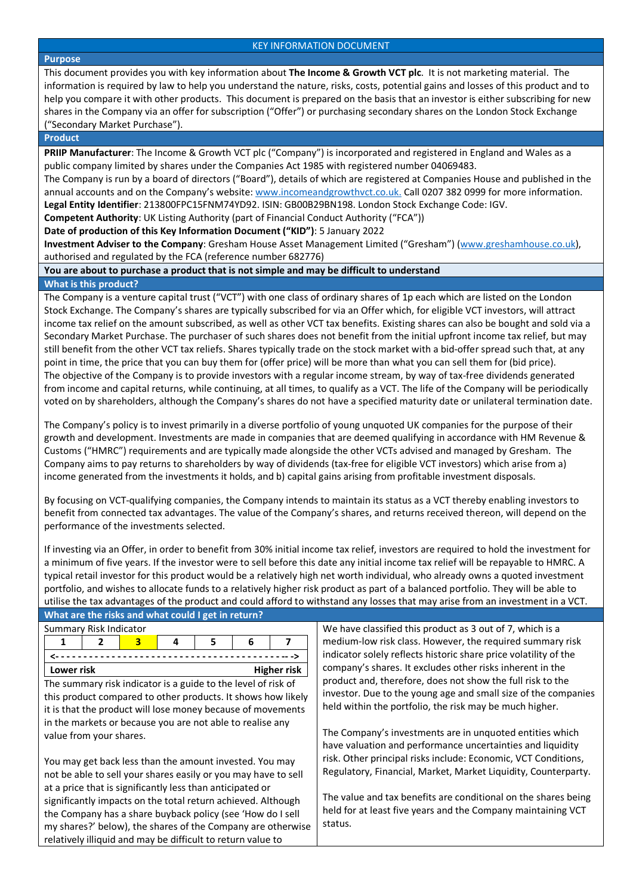#### **Purpose**

This document provides you with key information about **The Income & Growth VCT plc**. It is not marketing material. The information is required by law to help you understand the nature, risks, costs, potential gains and losses of this product and to help you compare it with other products. This document is prepared on the basis that an investor is either subscribing for new shares in the Company via an offer for subscription ("Offer") or purchasing secondary shares on the London Stock Exchange ("Secondary Market Purchase").

#### **Product**

**PRIIP Manufacturer**: The Income & Growth VCT plc ("Company") is incorporated and registered in England and Wales as a public company limited by shares under the Companies Act 1985 with registered number 04069483.

The Company is run by a board of directors ("Board"), details of which are registered at Companies House and published in the annual accounts and on the Company's website[: www.incomeandgrowthvct.co.uk.](http://www.incomeandgrowthvct.co.uk/) Call 0207 382 0999 for more information. **Legal Entity Identifier**: 213800FPC15FNM74YD92. ISIN: GB00B29BN198. London Stock Exchange Code: IGV.

**Competent Authority**: UK Listing Authority (part of Financial Conduct Authority ("FCA"))

**Date of production of this Key Information Document ("KID")**: 5 January 2022

**Investment Adviser to the Company**: Gresham House Asset Management Limited ("Gresham") [\(www.greshamhouse.co.uk\)](http://www.greshamhouse.co.uk/), authorised and regulated by the FCA (reference number 682776)

# **You are about to purchase a product that is not simple and may be difficult to understand**

## **What is this product?**

The Company is a venture capital trust ("VCT") with one class of ordinary shares of 1p each which are listed on the London Stock Exchange. The Company's shares are typically subscribed for via an Offer which, for eligible VCT investors, will attract income tax relief on the amount subscribed, as well as other VCT tax benefits. Existing shares can also be bought and sold via a Secondary Market Purchase. The purchaser of such shares does not benefit from the initial upfront income tax relief, but may still benefit from the other VCT tax reliefs. Shares typically trade on the stock market with a bid-offer spread such that, at any point in time, the price that you can buy them for (offer price) will be more than what you can sell them for (bid price). The objective of the Company is to provide investors with a regular income stream, by way of tax-free dividends generated from income and capital returns, while continuing, at all times, to qualify as a VCT. The life of the Company will be periodically voted on by shareholders, although the Company's shares do not have a specified maturity date or unilateral termination date.

The Company's policy is to invest primarily in a diverse portfolio of young unquoted UK companies for the purpose of their growth and development. Investments are made in companies that are deemed qualifying in accordance with HM Revenue & Customs ("HMRC") requirements and are typically made alongside the other VCTs advised and managed by Gresham. The Company aims to pay returns to shareholders by way of dividends (tax-free for eligible VCT investors) which arise from a) income generated from the investments it holds, and b) capital gains arising from profitable investment disposals.

By focusing on VCT-qualifying companies, the Company intends to maintain its status as a VCT thereby enabling investors to benefit from connected tax advantages. The value of the Company's shares, and returns received thereon, will depend on the performance of the investments selected.

If investing via an Offer, in order to benefit from 30% initial income tax relief, investors are required to hold the investment for a minimum of five years. If the investor were to sell before this date any initial income tax relief will be repayable to HMRC. A typical retail investor for this product would be a relatively high net worth individual, who already owns a quoted investment portfolio, and wishes to allocate funds to a relatively higher risk product as part of a balanced portfolio. They will be able to utilise the tax advantages of the product and could afford to withstand any losses that may arise from an investment in a VCT.

|                                                                | What are the risks and what could I get in return? |   |   |   |    |   |                                                         |                                                                                                                              |  |  |
|----------------------------------------------------------------|----------------------------------------------------|---|---|---|----|---|---------------------------------------------------------|------------------------------------------------------------------------------------------------------------------------------|--|--|
| Summary Risk Indicator                                         |                                                    |   |   |   |    |   |                                                         | We have classified this product as 3 out of 7, which is a                                                                    |  |  |
|                                                                |                                                    | 2 | 3 | 4 | 5. | 6 |                                                         | medium-low risk class. However, the required summary risk                                                                    |  |  |
| <b>Higher risk</b><br>Lower risk                               |                                                    |   |   |   |    |   |                                                         | indicator solely reflects historic share price volatility of the                                                             |  |  |
|                                                                |                                                    |   |   |   |    |   |                                                         | company's shares. It excludes other risks inherent in the                                                                    |  |  |
| The summary risk indicator is a guide to the level of risk of  |                                                    |   |   |   |    |   |                                                         | product and, therefore, does not show the full risk to the<br>investor. Due to the young age and small size of the companies |  |  |
| this product compared to other products. It shows how likely   |                                                    |   |   |   |    |   |                                                         |                                                                                                                              |  |  |
| it is that the product will lose money because of movements    |                                                    |   |   |   |    |   | held within the portfolio, the risk may be much higher. |                                                                                                                              |  |  |
| in the markets or because you are not able to realise any      |                                                    |   |   |   |    |   |                                                         |                                                                                                                              |  |  |
| value from your shares.                                        |                                                    |   |   |   |    |   |                                                         | The Company's investments are in unquoted entities which                                                                     |  |  |
|                                                                |                                                    |   |   |   |    |   |                                                         | have valuation and performance uncertainties and liquidity                                                                   |  |  |
| You may get back less than the amount invested. You may        |                                                    |   |   |   |    |   |                                                         | risk. Other principal risks include: Economic, VCT Conditions,                                                               |  |  |
| not be able to sell your shares easily or you may have to sell |                                                    |   |   |   |    |   |                                                         | Regulatory, Financial, Market, Market Liquidity, Counterparty.                                                               |  |  |
| at a price that is significantly less than anticipated or      |                                                    |   |   |   |    |   |                                                         |                                                                                                                              |  |  |
| significantly impacts on the total return achieved. Although   |                                                    |   |   |   |    |   |                                                         | The value and tax benefits are conditional on the shares being                                                               |  |  |
| the Company has a share buyback policy (see 'How do I sell     |                                                    |   |   |   |    |   |                                                         | held for at least five years and the Company maintaining VCT                                                                 |  |  |
| my shares?' below), the shares of the Company are otherwise    |                                                    |   |   |   |    |   | status.                                                 |                                                                                                                              |  |  |
| relatively illiquid and may be difficult to return value to    |                                                    |   |   |   |    |   |                                                         |                                                                                                                              |  |  |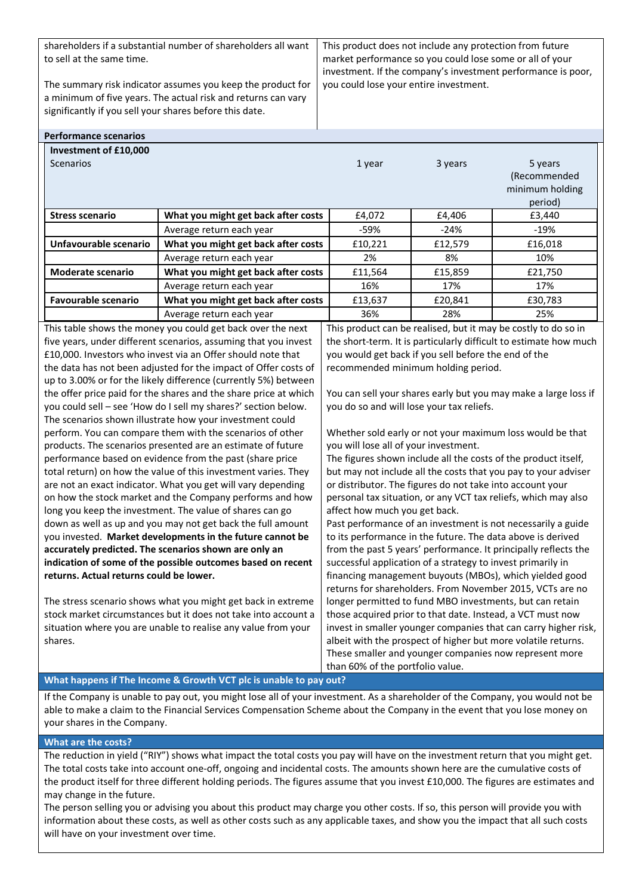shareholders if a substantial number of shareholders all want to sell at the same time.

The summary risk indicator assumes you keep the product for a minimum of five years. The actual risk and returns can vary significantly if you sell your shares before this date.

This product does not include any protection from future market performance so you could lose some or all of your investment. If the company's investment performance is poor, you could lose your entire investment.

| <b>Performance scenarios</b> |                                                                                                                                         |                                                                                                                                    |         |                                                       |
|------------------------------|-----------------------------------------------------------------------------------------------------------------------------------------|------------------------------------------------------------------------------------------------------------------------------------|---------|-------------------------------------------------------|
| Investment of £10,000        |                                                                                                                                         |                                                                                                                                    |         |                                                       |
| <b>Scenarios</b>             |                                                                                                                                         | 1 year                                                                                                                             | 3 years | 5 years<br>(Recommended<br>minimum holding<br>period) |
| <b>Stress scenario</b>       | What you might get back after costs                                                                                                     | £4,072                                                                                                                             | £4,406  | £3,440                                                |
|                              | Average return each year                                                                                                                | -59%                                                                                                                               | -24%    | $-19%$                                                |
| Unfavourable scenario        | What you might get back after costs                                                                                                     | £10,221                                                                                                                            | £12,579 | £16,018                                               |
|                              | Average return each year                                                                                                                | 2%                                                                                                                                 | 8%      | 10%                                                   |
| <b>Moderate scenario</b>     | What you might get back after costs                                                                                                     | £11,564                                                                                                                            | £15,859 | £21,750                                               |
|                              | Average return each year                                                                                                                | 16%                                                                                                                                | 17%     | 17%                                                   |
| <b>Favourable scenario</b>   | What you might get back after costs                                                                                                     | £13,637                                                                                                                            | £20,841 | £30,783                                               |
|                              | Average return each year                                                                                                                | 36%                                                                                                                                | 28%     | 25%                                                   |
|                              | This table shows the money you could get back over the next<br>$f_{\text{max}}$ uses under different cooperies accuming that you invest | This product can be realised, but it may be costly to do so in<br>the chart term, It is norticularly difficult to estimate hour mu |         |                                                       |

five years, under different scenarios, assuming that you invest £10,000. Investors who invest via an Offer should note that the data has not been adjusted for the impact of Offer costs of up to 3.00% or for the likely difference (currently 5%) between the offer price paid for the shares and the share price at which you could sell – see 'How do I sell my shares?' section below. The scenarios shown illustrate how your investment could perform. You can compare them with the scenarios of other products. The scenarios presented are an estimate of future performance based on evidence from the past (share price total return) on how the value of this investment varies. They are not an exact indicator. What you get will vary depending on how the stock market and the Company performs and how long you keep the investment. The value of shares can go down as well as up and you may not get back the full amount you invested. **Market developments in the future cannot be accurately predicted. The scenarios shown are only an indication of some of the possible outcomes based on recent returns. Actual returns could be lower.**

The stress scenario shows what you might get back in extreme stock market circumstances but it does not take into account a situation where you are unable to realise any value from your shares.

This product can be realised, but it may be costly to do so in the short-term. It is particularly difficult to estimate how much you would get back if you sell before the end of the recommended minimum holding period.

You can sell your shares early but you may make a large loss if you do so and will lose your tax reliefs.

Whether sold early or not your maximum loss would be that you will lose all of your investment.

The figures shown include all the costs of the product itself, but may not include all the costs that you pay to your adviser or distributor. The figures do not take into account your personal tax situation, or any VCT tax reliefs, which may also affect how much you get back.

Past performance of an investment is not necessarily a guide to its performance in the future. The data above is derived from the past 5 years' performance. It principally reflects the successful application of a strategy to invest primarily in financing management buyouts (MBOs), which yielded good returns for shareholders. From November 2015, VCTs are no longer permitted to fund MBO investments, but can retain those acquired prior to that date. Instead, a VCT must now invest in smaller younger companies that can carry higher risk, albeit with the prospect of higher but more volatile returns. These smaller and younger companies now represent more than 60% of the portfolio value.

### **What happens if The Income & Growth VCT plc is unable to pay out?**

If the Company is unable to pay out, you might lose all of your investment. As a shareholder of the Company, you would not be able to make a claim to the Financial Services Compensation Scheme about the Company in the event that you lose money on your shares in the Company.

#### **What are the costs?**

The reduction in yield ("RIY") shows what impact the total costs you pay will have on the investment return that you might get. The total costs take into account one-off, ongoing and incidental costs. The amounts shown here are the cumulative costs of the product itself for three different holding periods. The figures assume that you invest £10,000. The figures are estimates and may change in the future.

The person selling you or advising you about this product may charge you other costs. If so, this person will provide you with information about these costs, as well as other costs such as any applicable taxes, and show you the impact that all such costs will have on your investment over time.